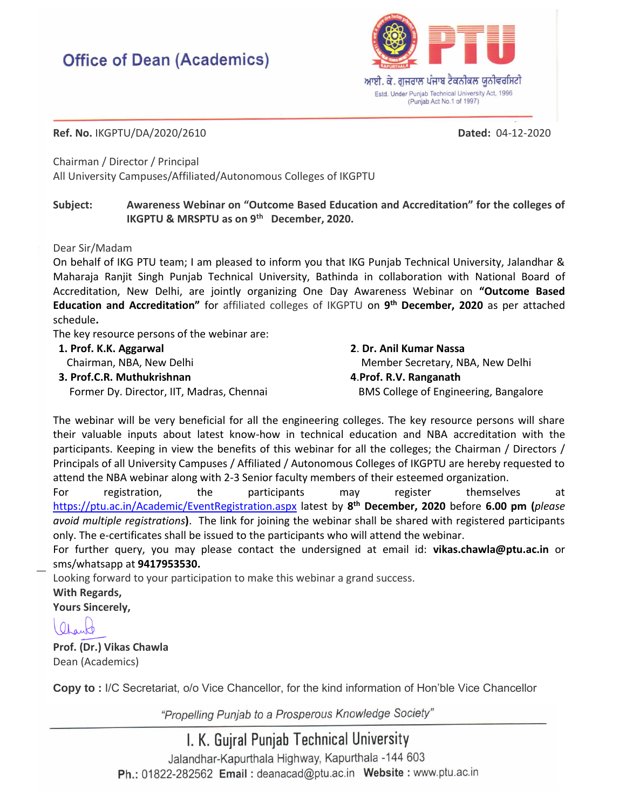## **Office of Dean (Academics)**



**Ref. No.** IKGPTU/DA/2020/2610 **Dated:** 04-12-2020

Chairman / Director / Principal All University Campuses/Affiliated/Autonomous Colleges of IKGPTU

## **Subject: Awareness Webinar on "Outcome Based Education and Accreditation" for the colleges of IKGPTU & MRSPTU as on 9th December, 2020.**

Dear Sir/Madam

On behalf of IKG PTU team; I am pleased to inform you that IKG Punjab Technical University, Jalandhar & Maharaja Ranjit Singh Punjab Technical University, Bathinda in collaboration with National Board of Accreditation, New Delhi, are jointly organizing One Day Awareness Webinar on **"Outcome Based Education and Accreditation"** for affiliated colleges of IKGPTU on **9 th December, 2020** as per attached schedule**.**

The key resource persons of the webinar are:

**1. Prof. K.K. Aggarwal**

Chairman, NBA, New Delhi

**3. Prof.C.R. Muthukrishnan**

Former Dy. Director, IIT, Madras, Chennai

**2**. **Dr. Anil Kumar Nassa** Member Secretary, NBA, New Delhi **4**.**Prof. R.V. Ranganath** BMS College of Engineering, Bangalore

The webinar will be very beneficial for all the engineering colleges. The key resource persons will share their valuable inputs about latest know-how in technical education and NBA accreditation with the participants. Keeping in view the benefits of this webinar for all the colleges; the Chairman / Directors / Principals of all University Campuses / Affiliated / Autonomous Colleges of IKGPTU are hereby requested to attend the NBA webinar along with 2-3 Senior faculty members of their esteemed organization.

For registration, the participants may register themselves at <https://ptu.ac.in/Academic/EventRegistration.aspx> latest by **8 th December, 2020** before **6.00 pm (***please avoid multiple registrations***)**. The link for joining the webinar shall be shared with registered participants only. The e-certificates shall be issued to the participants who will attend the webinar.

For further query, you may please contact the undersigned at email id: **[vikas.chawla@ptu.ac.in](mailto:vikas.chawla@ptu.ac.in)** or sms/whatsapp at **9417953530.**

Looking forward to your participation to make this webinar a grand success. **With Regards, Yours Sincerely,**

 $\Omega_{\rm A}$ 

**Prof. (Dr.) Vikas Chawla** Dean (Academics)

**Copy to :** I/C Secretariat, o/o Vice Chancellor, for the kind information of Hon'ble Vice Chancellor

"Propelling Punjab to a Prosperous Knowledge Society"

I. K. Gujral Punjab Technical University Jalandhar-Kapurthala Highway, Kapurthala -144 603 Ph.: 01822-282562 Email: deanacad@ptu.ac.in Website: www.ptu.ac.in